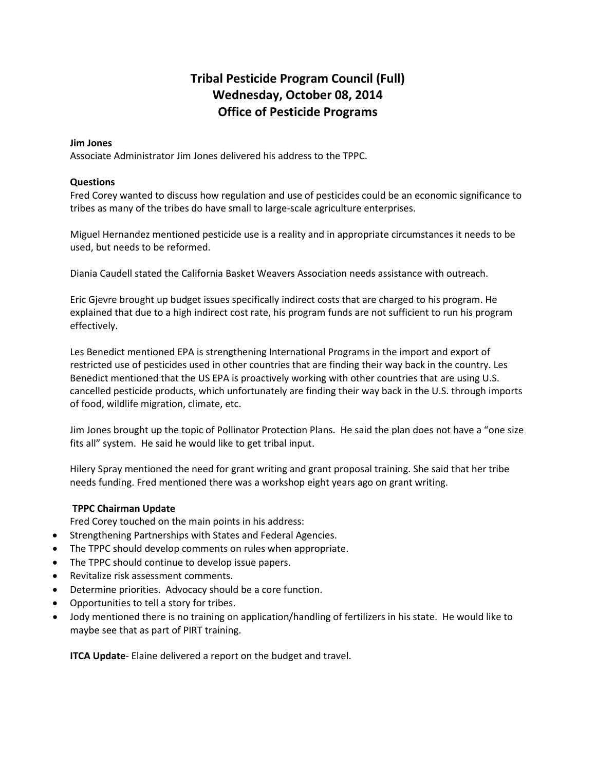# **Tribal Pesticide Program Council (Full) Wednesday, October 08, 2014 Office of Pesticide Programs**

# **Jim Jones**

Associate Administrator Jim Jones delivered his address to the TPPC.

#### **Questions**

Fred Corey wanted to discuss how regulation and use of pesticides could be an economic significance to tribes as many of the tribes do have small to large-scale agriculture enterprises.

Miguel Hernandez mentioned pesticide use is a reality and in appropriate circumstances it needs to be used, but needs to be reformed.

Diania Caudell stated the California Basket Weavers Association needs assistance with outreach.

Eric Gjevre brought up budget issues specifically indirect costs that are charged to his program. He explained that due to a high indirect cost rate, his program funds are not sufficient to run his program effectively.

Les Benedict mentioned EPA is strengthening International Programs in the import and export of restricted use of pesticides used in other countries that are finding their way back in the country. Les Benedict mentioned that the US EPA is proactively working with other countries that are using U.S. cancelled pesticide products, which unfortunately are finding their way back in the U.S. through imports of food, wildlife migration, climate, etc.

Jim Jones brought up the topic of Pollinator Protection Plans. He said the plan does not have a "one size fits all" system. He said he would like to get tribal input.

Hilery Spray mentioned the need for grant writing and grant proposal training. She said that her tribe needs funding. Fred mentioned there was a workshop eight years ago on grant writing.

# **TPPC Chairman Update**

Fred Corey touched on the main points in his address:

- Strengthening Partnerships with States and Federal Agencies.
- The TPPC should develop comments on rules when appropriate.
- The TPPC should continue to develop issue papers.
- Revitalize risk assessment comments.
- Determine priorities. Advocacy should be a core function.
- Opportunities to tell a story for tribes.
- Jody mentioned there is no training on application/handling of fertilizers in his state. He would like to maybe see that as part of PIRT training.

**ITCA Update**- Elaine delivered a report on the budget and travel.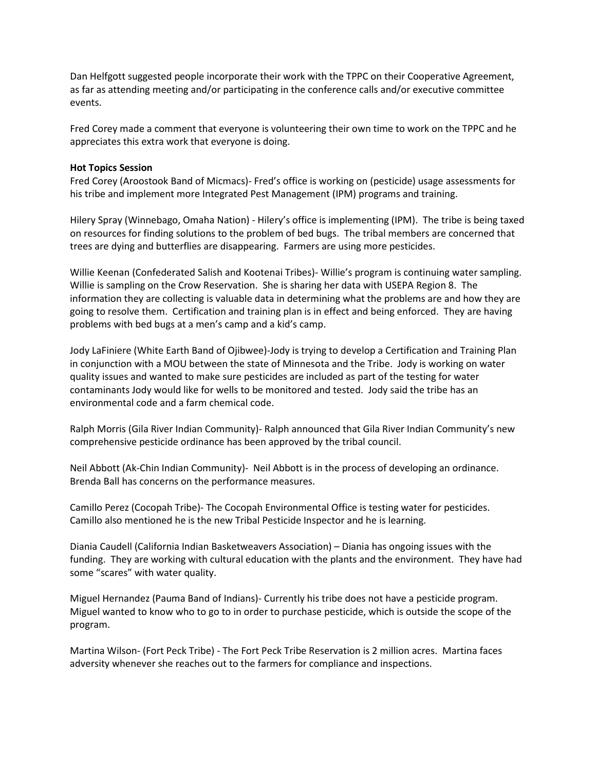Dan Helfgott suggested people incorporate their work with the TPPC on their Cooperative Agreement, as far as attending meeting and/or participating in the conference calls and/or executive committee events.

Fred Corey made a comment that everyone is volunteering their own time to work on the TPPC and he appreciates this extra work that everyone is doing.

#### **Hot Topics Session**

Fred Corey (Aroostook Band of Micmacs)- Fred's office is working on (pesticide) usage assessments for his tribe and implement more Integrated Pest Management (IPM) programs and training.

Hilery Spray (Winnebago, Omaha Nation) - Hilery's office is implementing (IPM). The tribe is being taxed on resources for finding solutions to the problem of bed bugs. The tribal members are concerned that trees are dying and butterflies are disappearing. Farmers are using more pesticides.

Willie Keenan (Confederated Salish and Kootenai Tribes)- Willie's program is continuing water sampling. Willie is sampling on the Crow Reservation. She is sharing her data with USEPA Region 8. The information they are collecting is valuable data in determining what the problems are and how they are going to resolve them. Certification and training plan is in effect and being enforced. They are having problems with bed bugs at a men's camp and a kid's camp.

Jody LaFiniere (White Earth Band of Ojibwee)-Jody is trying to develop a Certification and Training Plan in conjunction with a MOU between the state of Minnesota and the Tribe. Jody is working on water quality issues and wanted to make sure pesticides are included as part of the testing for water contaminants Jody would like for wells to be monitored and tested. Jody said the tribe has an environmental code and a farm chemical code.

Ralph Morris (Gila River Indian Community)- Ralph announced that Gila River Indian Community's new comprehensive pesticide ordinance has been approved by the tribal council.

Neil Abbott (Ak-Chin Indian Community)- Neil Abbott is in the process of developing an ordinance. Brenda Ball has concerns on the performance measures.

Camillo Perez (Cocopah Tribe)- The Cocopah Environmental Office is testing water for pesticides. Camillo also mentioned he is the new Tribal Pesticide Inspector and he is learning.

Diania Caudell (California Indian Basketweavers Association) – Diania has ongoing issues with the funding. They are working with cultural education with the plants and the environment. They have had some "scares" with water quality.

Miguel Hernandez (Pauma Band of Indians)- Currently his tribe does not have a pesticide program. Miguel wanted to know who to go to in order to purchase pesticide, which is outside the scope of the program.

Martina Wilson- (Fort Peck Tribe) - The Fort Peck Tribe Reservation is 2 million acres. Martina faces adversity whenever she reaches out to the farmers for compliance and inspections.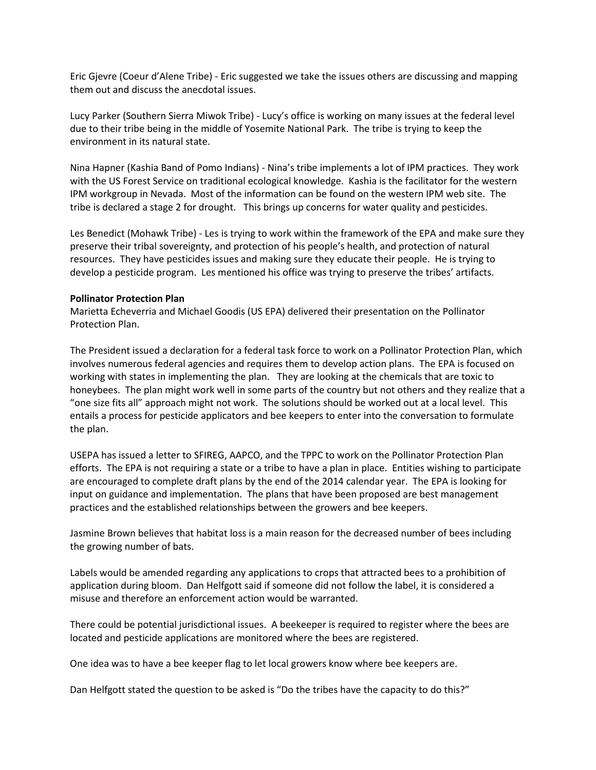Eric Gjevre (Coeur d'Alene Tribe) - Eric suggested we take the issues others are discussing and mapping them out and discuss the anecdotal issues.

Lucy Parker (Southern Sierra Miwok Tribe) - Lucy's office is working on many issues at the federal level due to their tribe being in the middle of Yosemite National Park. The tribe is trying to keep the environment in its natural state.

Nina Hapner (Kashia Band of Pomo Indians) - Nina's tribe implements a lot of IPM practices. They work with the US Forest Service on traditional ecological knowledge. Kashia is the facilitator for the western IPM workgroup in Nevada. Most of the information can be found on the western IPM web site. The tribe is declared a stage 2 for drought. This brings up concerns for water quality and pesticides.

Les Benedict (Mohawk Tribe) - Les is trying to work within the framework of the EPA and make sure they preserve their tribal sovereignty, and protection of his people's health, and protection of natural resources. They have pesticides issues and making sure they educate their people. He is trying to develop a pesticide program. Les mentioned his office was trying to preserve the tribes' artifacts.

#### **Pollinator Protection Plan**

Marietta Echeverria and Michael Goodis (US EPA) delivered their presentation on the Pollinator Protection Plan.

The President issued a declaration for a federal task force to work on a Pollinator Protection Plan, which involves numerous federal agencies and requires them to develop action plans. The EPA is focused on working with states in implementing the plan. They are looking at the chemicals that are toxic to honeybees. The plan might work well in some parts of the country but not others and they realize that a "one size fits all" approach might not work. The solutions should be worked out at a local level. This entails a process for pesticide applicators and bee keepers to enter into the conversation to formulate the plan.

USEPA has issued a letter to SFIREG, AAPCO, and the TPPC to work on the Pollinator Protection Plan efforts. The EPA is not requiring a state or a tribe to have a plan in place. Entities wishing to participate are encouraged to complete draft plans by the end of the 2014 calendar year. The EPA is looking for input on guidance and implementation. The plans that have been proposed are best management practices and the established relationships between the growers and bee keepers.

Jasmine Brown believes that habitat loss is a main reason for the decreased number of bees including the growing number of bats.

Labels would be amended regarding any applications to crops that attracted bees to a prohibition of application during bloom. Dan Helfgott said if someone did not follow the label, it is considered a misuse and therefore an enforcement action would be warranted.

There could be potential jurisdictional issues. A beekeeper is required to register where the bees are located and pesticide applications are monitored where the bees are registered.

One idea was to have a bee keeper flag to let local growers know where bee keepers are.

Dan Helfgott stated the question to be asked is "Do the tribes have the capacity to do this?"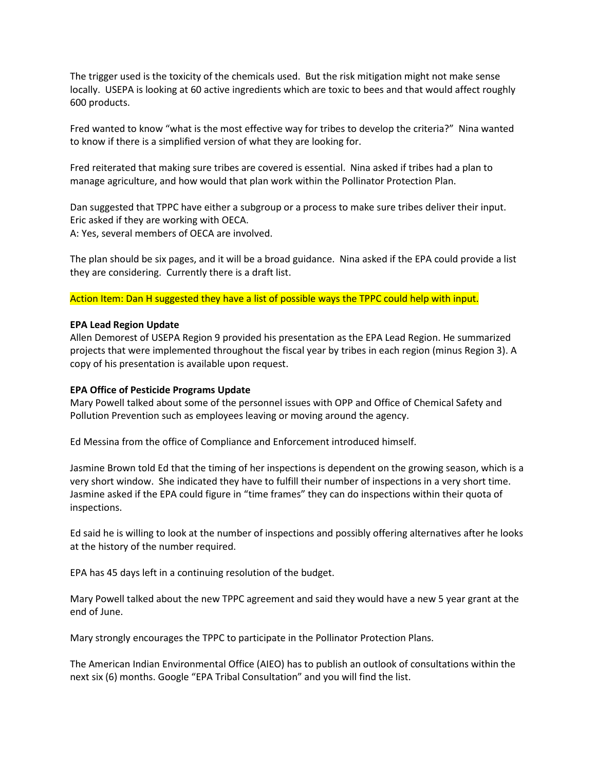The trigger used is the toxicity of the chemicals used. But the risk mitigation might not make sense locally. USEPA is looking at 60 active ingredients which are toxic to bees and that would affect roughly 600 products.

Fred wanted to know "what is the most effective way for tribes to develop the criteria?" Nina wanted to know if there is a simplified version of what they are looking for.

Fred reiterated that making sure tribes are covered is essential. Nina asked if tribes had a plan to manage agriculture, and how would that plan work within the Pollinator Protection Plan.

Dan suggested that TPPC have either a subgroup or a process to make sure tribes deliver their input. Eric asked if they are working with OECA.

A: Yes, several members of OECA are involved.

The plan should be six pages, and it will be a broad guidance. Nina asked if the EPA could provide a list they are considering. Currently there is a draft list.

Action Item: Dan H suggested they have a list of possible ways the TPPC could help with input.

#### **EPA Lead Region Update**

Allen Demorest of USEPA Region 9 provided his presentation as the EPA Lead Region. He summarized projects that were implemented throughout the fiscal year by tribes in each region (minus Region 3). A copy of his presentation is available upon request.

### **EPA Office of Pesticide Programs Update**

Mary Powell talked about some of the personnel issues with OPP and Office of Chemical Safety and Pollution Prevention such as employees leaving or moving around the agency.

Ed Messina from the office of Compliance and Enforcement introduced himself.

Jasmine Brown told Ed that the timing of her inspections is dependent on the growing season, which is a very short window. She indicated they have to fulfill their number of inspections in a very short time. Jasmine asked if the EPA could figure in "time frames" they can do inspections within their quota of inspections.

Ed said he is willing to look at the number of inspections and possibly offering alternatives after he looks at the history of the number required.

EPA has 45 days left in a continuing resolution of the budget.

Mary Powell talked about the new TPPC agreement and said they would have a new 5 year grant at the end of June.

Mary strongly encourages the TPPC to participate in the Pollinator Protection Plans.

The American Indian Environmental Office (AIEO) has to publish an outlook of consultations within the next six (6) months. Google "EPA Tribal Consultation" and you will find the list.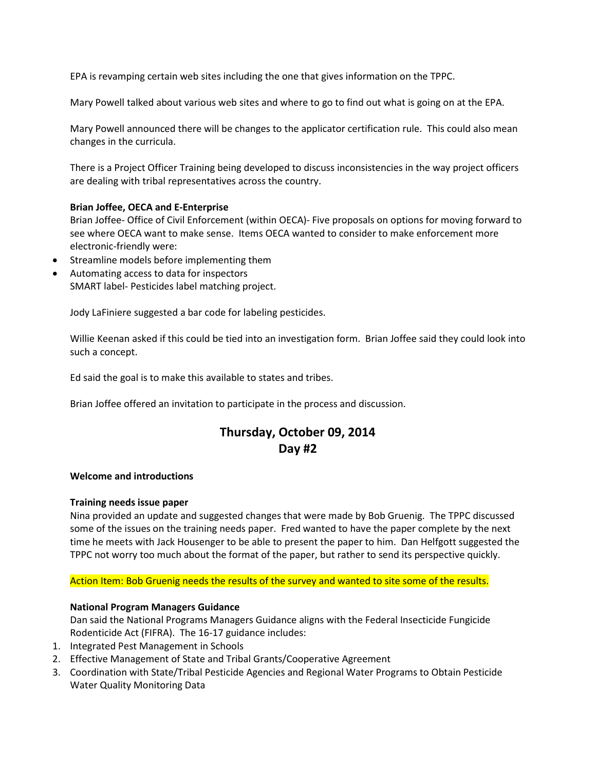EPA is revamping certain web sites including the one that gives information on the TPPC.

Mary Powell talked about various web sites and where to go to find out what is going on at the EPA.

Mary Powell announced there will be changes to the applicator certification rule. This could also mean changes in the curricula.

There is a Project Officer Training being developed to discuss inconsistencies in the way project officers are dealing with tribal representatives across the country.

# **Brian Joffee, OECA and E-Enterprise**

Brian Joffee- Office of Civil Enforcement (within OECA)- Five proposals on options for moving forward to see where OECA want to make sense. Items OECA wanted to consider to make enforcement more electronic-friendly were:

- Streamline models before implementing them
- Automating access to data for inspectors SMART label- Pesticides label matching project.

Jody LaFiniere suggested a bar code for labeling pesticides.

Willie Keenan asked if this could be tied into an investigation form. Brian Joffee said they could look into such a concept.

Ed said the goal is to make this available to states and tribes.

Brian Joffee offered an invitation to participate in the process and discussion.

# **Thursday, October 09, 2014 Day #2**

# **Welcome and introductions**

# **Training needs issue paper**

Nina provided an update and suggested changes that were made by Bob Gruenig. The TPPC discussed some of the issues on the training needs paper. Fred wanted to have the paper complete by the next time he meets with Jack Housenger to be able to present the paper to him. Dan Helfgott suggested the TPPC not worry too much about the format of the paper, but rather to send its perspective quickly.

# Action Item: Bob Gruenig needs the results of the survey and wanted to site some of the results.

# **National Program Managers Guidance**

Dan said the National Programs Managers Guidance aligns with the Federal Insecticide Fungicide Rodenticide Act (FIFRA). The 16-17 guidance includes:

- 1. Integrated Pest Management in Schools
- 2. Effective Management of State and Tribal Grants/Cooperative Agreement
- 3. Coordination with State/Tribal Pesticide Agencies and Regional Water Programs to Obtain Pesticide Water Quality Monitoring Data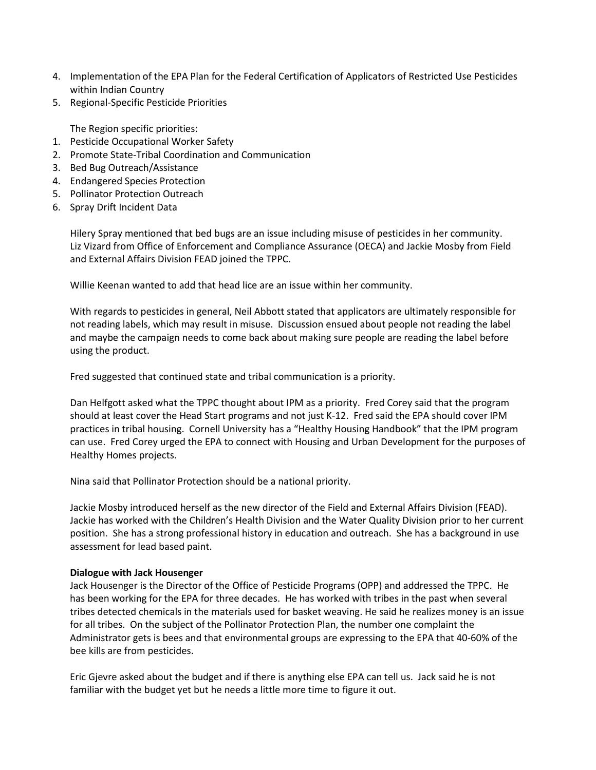- 4. Implementation of the EPA Plan for the Federal Certification of Applicators of Restricted Use Pesticides within Indian Country
- 5. Regional-Specific Pesticide Priorities

The Region specific priorities:

- 1. Pesticide Occupational Worker Safety
- 2. Promote State-Tribal Coordination and Communication
- 3. Bed Bug Outreach/Assistance
- 4. Endangered Species Protection
- 5. Pollinator Protection Outreach
- 6. Spray Drift Incident Data

Hilery Spray mentioned that bed bugs are an issue including misuse of pesticides in her community. Liz Vizard from Office of Enforcement and Compliance Assurance (OECA) and Jackie Mosby from Field and External Affairs Division FEAD joined the TPPC.

Willie Keenan wanted to add that head lice are an issue within her community.

With regards to pesticides in general, Neil Abbott stated that applicators are ultimately responsible for not reading labels, which may result in misuse. Discussion ensued about people not reading the label and maybe the campaign needs to come back about making sure people are reading the label before using the product.

Fred suggested that continued state and tribal communication is a priority.

Dan Helfgott asked what the TPPC thought about IPM as a priority. Fred Corey said that the program should at least cover the Head Start programs and not just K-12. Fred said the EPA should cover IPM practices in tribal housing. Cornell University has a "Healthy Housing Handbook" that the IPM program can use. Fred Corey urged the EPA to connect with Housing and Urban Development for the purposes of Healthy Homes projects.

Nina said that Pollinator Protection should be a national priority.

Jackie Mosby introduced herself as the new director of the Field and External Affairs Division (FEAD). Jackie has worked with the Children's Health Division and the Water Quality Division prior to her current position. She has a strong professional history in education and outreach. She has a background in use assessment for lead based paint.

#### **Dialogue with Jack Housenger**

Jack Housenger is the Director of the Office of Pesticide Programs (OPP) and addressed the TPPC. He has been working for the EPA for three decades. He has worked with tribes in the past when several tribes detected chemicals in the materials used for basket weaving. He said he realizes money is an issue for all tribes. On the subject of the Pollinator Protection Plan, the number one complaint the Administrator gets is bees and that environmental groups are expressing to the EPA that 40-60% of the bee kills are from pesticides.

Eric Gjevre asked about the budget and if there is anything else EPA can tell us. Jack said he is not familiar with the budget yet but he needs a little more time to figure it out.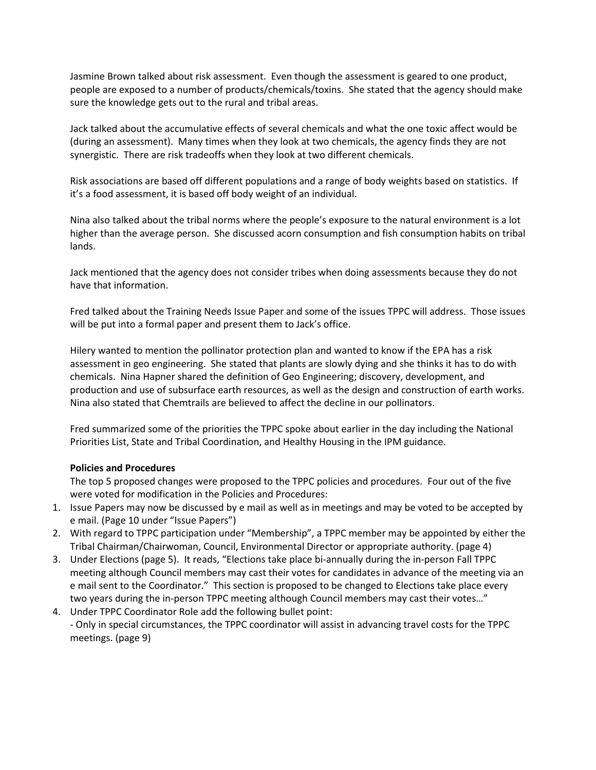Jasmine Brown talked about risk assessment. Even though the assessment is geared to one product, people are exposed to a number of products/chemicals/toxins. She stated that the agency should make sure the knowledge gets out to the rural and tribal areas.

Jack talked about the accumulative effects of several chemicals and what the one toxic affect would be (during an assessment). Many times when they look at two chemicals, the agency finds they are not synergistic. There are risk tradeoffs when they look at two different chemicals.

Risk associations are based off different populations and a range of body weights based on statistics. If it's a food assessment, it is based off body weight of an individual.

Nina also talked about the tribal norms where the people's exposure to the natural environment is a lot higher than the average person. She discussed acorn consumption and fish consumption habits on tribal lands.

Jack mentioned that the agency does not consider tribes when doing assessments because they do not have that information.

Fred talked about the Training Needs Issue Paper and some of the issues TPPC will address. Those issues will be put into a formal paper and present them to Jack's office.

Hilery wanted to mention the pollinator protection plan and wanted to know if the EPA has a risk assessment in geo engineering. She stated that plants are slowly dying and she thinks it has to do with chemicals. Nina Hapner shared the definition of Geo Engineering; discovery, development, and production and use of subsurface earth resources, as well as the design and construction of earth works. Nina also stated that Chemtrails are believed to affect the decline in our pollinators.

Fred summarized some of the priorities the TPPC spoke about earlier in the day including the National Priorities List, State and Tribal Coordination, and Healthy Housing in the IPM guidance.

# **Policies and Procedures**

The top 5 proposed changes were proposed to the TPPC policies and procedures. Four out of the five were voted for modification in the Policies and Procedures:

- 1. Issue Papers may now be discussed by e mail as well as in meetings and may be voted to be accepted by e mail. (Page 10 under "Issue Papers")
- 2. With regard to TPPC participation under "Membership", a TPPC member may be appointed by either the Tribal Chairman/Chairwoman, Council, Environmental Director or appropriate authority. (page 4)
- 3. Under Elections (page 5). It reads, "Elections take place bi-annually during the in-person Fall TPPC meeting although Council members may cast their votes for candidates in advance of the meeting via an e mail sent to the Coordinator." This section is proposed to be changed to Elections take place every two years during the in-person TPPC meeting although Council members may cast their votes…"
- 4. Under TPPC Coordinator Role add the following bullet point: - Only in special circumstances, the TPPC coordinator will assist in advancing travel costs for the TPPC meetings. (page 9)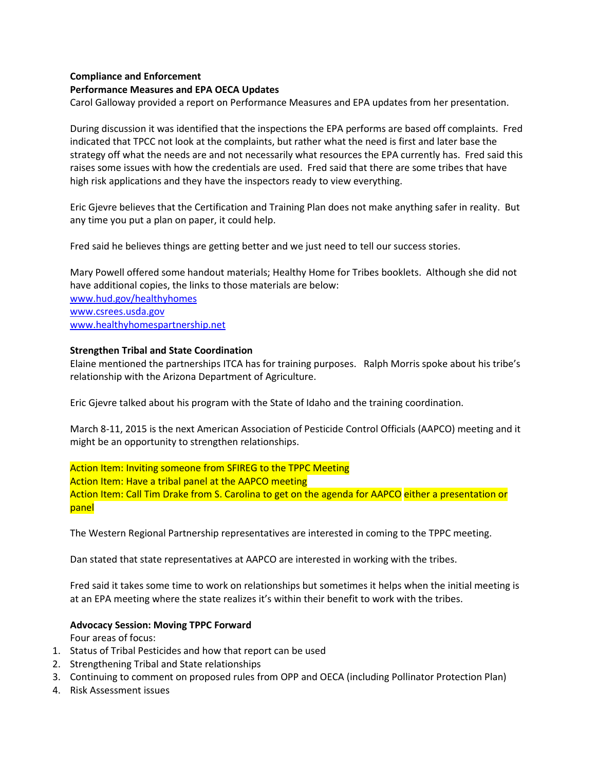# **Compliance and Enforcement**

### **Performance Measures and EPA OECA Updates**

Carol Galloway provided a report on Performance Measures and EPA updates from her presentation.

During discussion it was identified that the inspections the EPA performs are based off complaints. Fred indicated that TPCC not look at the complaints, but rather what the need is first and later base the strategy off what the needs are and not necessarily what resources the EPA currently has. Fred said this raises some issues with how the credentials are used. Fred said that there are some tribes that have high risk applications and they have the inspectors ready to view everything.

Eric Gjevre believes that the Certification and Training Plan does not make anything safer in reality. But any time you put a plan on paper, it could help.

Fred said he believes things are getting better and we just need to tell our success stories.

Mary Powell offered some handout materials; Healthy Home for Tribes booklets. Although she did not have additional copies, the links to those materials are below: [www.hud.gov/healthyhomes](http://www.hud.gov/healthyhomes) [www.csrees.usda.gov](http://www.csrees.usda.gov/) [www.healthyhomespartnership.net](http://www.healthyhomespartnership.net/)

#### **Strengthen Tribal and State Coordination**

Elaine mentioned the partnerships ITCA has for training purposes. Ralph Morris spoke about his tribe's relationship with the Arizona Department of Agriculture.

Eric Gjevre talked about his program with the State of Idaho and the training coordination.

March 8-11, 2015 is the next American Association of Pesticide Control Officials (AAPCO) meeting and it might be an opportunity to strengthen relationships.

Action Item: Inviting someone from SFIREG to the TPPC Meeting Action Item: Have a tribal panel at the AAPCO meeting Action Item: Call Tim Drake from S. Carolina to get on the agenda for AAPCO either a presentation or panel

The Western Regional Partnership representatives are interested in coming to the TPPC meeting.

Dan stated that state representatives at AAPCO are interested in working with the tribes.

Fred said it takes some time to work on relationships but sometimes it helps when the initial meeting is at an EPA meeting where the state realizes it's within their benefit to work with the tribes.

#### **Advocacy Session: Moving TPPC Forward**

Four areas of focus:

- 1. Status of Tribal Pesticides and how that report can be used
- 2. Strengthening Tribal and State relationships
- 3. Continuing to comment on proposed rules from OPP and OECA (including Pollinator Protection Plan)
- 4. Risk Assessment issues